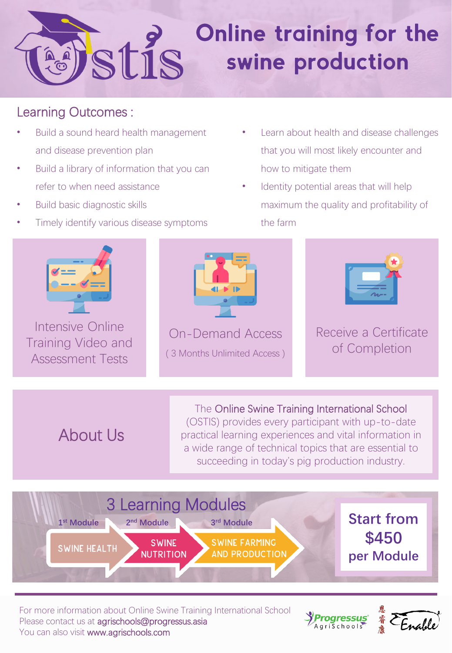# **Online training for the** stis swine production

## Learning Outcomes :

- Build a sound heard health management and disease prevention plan
- Build a library of information that you can refer to when need assistance
- Build basic diagnostic skills
- Timely identify various disease symptoms
- Learn about health and disease challenges that you will most likely encounter and how to mitigate them
- Identity potential areas that will help maximum the quality and profitability of the farm



Intensive Online Training Video and Assessment Tests



On-Demand Access ( 3 Months Unlimited Access )



## Receive a Certificate of Completion

About Us

The Online Swine Training International School (OSTIS) provides every participant with up-to-date practical learning experiences and vital information in a wide range of technical topics that are essential to succeeding in today's pig production industry.



For more information about Online Swine Training International School Please contact us at agrischools@progressus.asia You can also visit www.agrischools.com